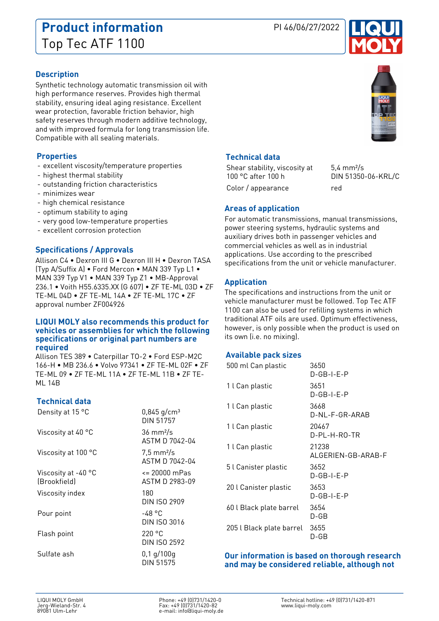# **Product information** PI 46/06/27/2022 Top Tec ATF 1100



## **Description**

Synthetic technology automatic transmission oil with high performance reserves. Provides high thermal stability, ensuring ideal aging resistance. Excellent wear protection, favorable friction behavior, high safety reserves through modern additive technology, and with improved formula for long transmission life. Compatible with all sealing materials.

## **Properties**

- excellent viscosity/temperature properties
- highest thermal stability
- outstanding friction characteristics
- minimizes wear
- high chemical resistance
- optimum stability to aging
- very good low-temperature properties
- excellent corrosion protection

## **Specifications / Approvals**

Allison C4 • Dexron III G • Dexron III H • Dexron TASA (Typ A/Suffix A) • Ford Mercon • MAN 339 Typ L1 • MAN 339 Typ V1 • MAN 339 Typ Z1 • MB-Approval 236.1 • Voith H55.6335.XX (G 607) • ZF TE-ML 03D • ZF TE-ML 04D • ZF TE-ML 14A • ZF TE-ML 17C • ZF approval number ZF004926

#### **LIQUI MOLY also recommends this product for vehicles or assemblies for which the following specifications or original part numbers are required**

Allison TES 389 • Caterpillar TO-2 • Ford ESP-M2C 166-H • MB 236.6 • Volvo 97341 • ZF TE-ML 02F • ZF TE-ML 09 • ZF TE-ML 11A • ZF TE-ML 11B • ZF TE-ML 14B

## **Technical data**

| Density at 15 °C                    | $0,845$ g/cm <sup>3</sup><br>DIN 51757  |
|-------------------------------------|-----------------------------------------|
| Viscosity at 40 °C                  | $36 \text{ mm}^2$ /s<br>ASTM D 7042-04  |
| Viscosity at 100 °C                 | $7.5 \text{ mm}^2$ /s<br>ASTM D 7042-04 |
| Viscosity at -40 °C<br>(Brookfield) | <= 20000 mPas<br>ASTM D 2983-09         |
| Viscosity index                     | 180<br>DIN ISO 2909                     |
| Pour point                          | -48 °C<br>DIN ISO 3016                  |
| Flash point                         | 220 °C<br>DIN ISO 2592                  |
| Sulfate ash                         | $0,1$ g/100g<br>DIN 51575               |

## **Technical data**

Shear stability, viscosity at 100 °C after 100 h Color / appearance red

 $54 \text{ mm}^2$ /s DIN 51350-06-KRL/C

## **Areas of application**

For automatic transmissions, manual transmissions, power steering systems, hydraulic systems and auxiliary drives both in passenger vehicles and commercial vehicles as well as in industrial applications. Use according to the prescribed specifications from the unit or vehicle manufacturer.

## **Application**

The specifications and instructions from the unit or vehicle manufacturer must be followed. Top Tec ATF 1100 can also be used for refilling systems in which traditional ATF oils are used. Optimum effectiveness, however, is only possible when the product is used on its own (i.e. no mixing).

### **Available pack sizes**

| 500 ml Can plastic       | 3650<br>D-GB-I-E-P          |
|--------------------------|-----------------------------|
| 1 l Can plastic          | 3651<br>$D$ -GB-I-E-P       |
| 1 l Can plastic          | 3668<br>D-NL-F-GR-ARAB      |
| 1 l Can plastic          | 20467<br>D-PL-H-RO-TR       |
| 1 l Can plastic          | 21238<br>ALGERIEN-GB-ARAB-F |
| 5 l Canister plastic     | 3652<br>$D$ -GB-I-E-P       |
| 20 l Canister plastic    | 3653<br>D-GB-I-E-P          |
| 60 l Black plate barrel  | 3654<br>D-GB                |
| 205 l Black plate barrel | 3655<br>D-GB                |

### **Our information is based on thorough research and may be considered reliable, although not**